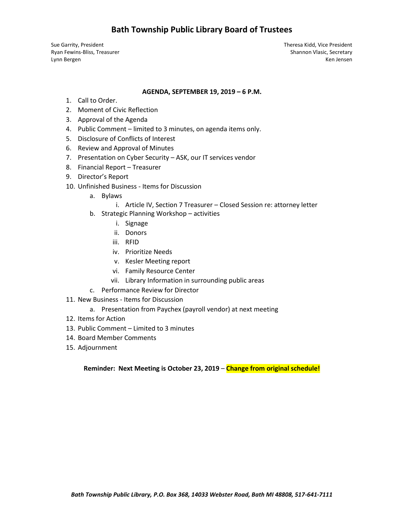# **Bath Township Public Library Board of Trustees**

Sue Garrity, President Theresa Kidd, Vice President Ryan Fewins-Bliss, Treasurer Shannon Vlasic, Secretary Shannon Vlasic, Secretary Lynn Bergen Ken Jensen Ken Jensen Ken Jensen Ken Jensen Ken Jensen Ken Jensen Ken Jensen Ken Jensen Ken Jensen

#### **AGENDA, SEPTEMBER 19, 2019 – 6 P.M.**

- 1. Call to Order.
- 2. Moment of Civic Reflection
- 3. Approval of the Agenda
- 4. Public Comment limited to 3 minutes, on agenda items only.
- 5. Disclosure of Conflicts of Interest
- 6. Review and Approval of Minutes
- 7. Presentation on Cyber Security ASK, our IT services vendor
- 8. Financial Report Treasurer
- 9. Director's Report
- 10. Unfinished Business Items for Discussion
	- a. Bylaws
		- i. Article IV, Section 7 Treasurer Closed Session re: attorney letter
	- b. Strategic Planning Workshop activities
		- i. Signage
		- ii. Donors
		- iii. RFID
		- iv. Prioritize Needs
		- v. Kesler Meeting report
		- vi. Family Resource Center
		- vii. Library Information in surrounding public areas
	- c. Performance Review for Director
- 11. New Business Items for Discussion
	- a. Presentation from Paychex (payroll vendor) at next meeting
- 12. Items for Action
- 13. Public Comment Limited to 3 minutes
- 14. Board Member Comments
- 15. Adjournment

**Reminder: Next Meeting is October 23, 2019** – **Change from original schedule!**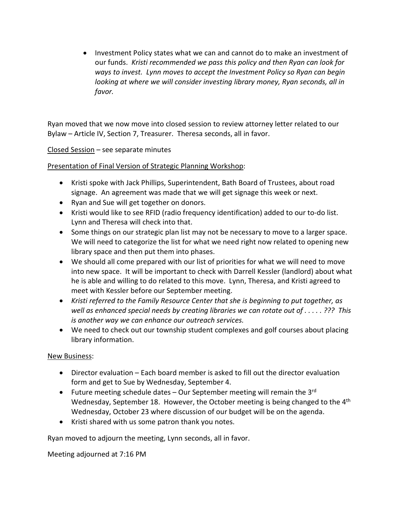• Investment Policy states what we can and cannot do to make an investment of our funds. *Kristie recommended we pass this policy and then Ryan can look for ways to invest. Lynn moves to accept the Investment Policy so Ryan can begin looking at where we will consider investing library money, Ryan seconds, all in favor.* 

Ryan moved that we now move into closed session to review attorney letter related to our Bylaw – Article IV, Section 7, Treasurer. Theresa seconds, all in favor.

Closed Session – see separate minutes

Presentation of Final Version of Strategic Planning Workshop:

- Kristie spoke with Jack Phillips, Superintendent, Bath Board of Trustees, about road signage. An agreement was made that we will get signage this week or next.
- Ryan and Sue will get together on donors.
- Kristi would like to see RFID (radio frequency identification) added to our to-do list. Lynn and Theresa will check into that.
- Some things on our strategic plan list may not be necessary to move to a larger space. We will need to categorize the list for what we need right now related to opening new library space and then put them into phases.
- We should all come prepared with our list of priorities for what we will need to move into new space. It will be important to check with Darrell Kessler (landlord) about what he is able and willing to do related to this move. Lynn, Theresa, and Kristie agreed to meet with Kessler before our September meeting.
- *Kristie referred to the Family Resource Center that she is beginning to put together, as well as enhanced special needs by creating libraries we can rotate out of . . . . . ??? This is another way we can enhance our outreach services.*
- We need to check out our township student complexes and golf courses about placing library information.

## New Business:

- Director evaluation Each board member is asked to fill out the director evaluation form and get to Sue by Wednesday, September 4.
- Future meeting schedule dates Our September meeting will remain the  $3^{rd}$ Wednesday, September 18. However, the October meeting is being changed to the 4<sup>th</sup> Wednesday, October 23 where discussion of our budget will be on the agenda.
- Kristie shared with us some patron thank you notes.

Ryan moved to adjourn the meeting, Lynn seconds, all in favor.

Meeting adjourned at 7:16 PM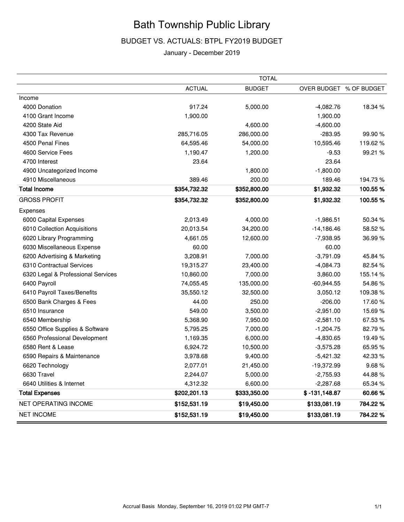# Bath Township Public Library

## BUDGET VS. ACTUALS: BTPL FY2019 BUDGET

#### January - December 2019

|                                    |               | <b>TOTAL</b>  |                 |                         |
|------------------------------------|---------------|---------------|-----------------|-------------------------|
|                                    | <b>ACTUAL</b> | <b>BUDGET</b> |                 | OVER BUDGET % OF BUDGET |
| Income                             |               |               |                 |                         |
| 4000 Donation                      | 917.24        | 5,000.00      | $-4,082.76$     | 18.34 %                 |
| 4100 Grant Income                  | 1,900.00      |               | 1,900.00        |                         |
| 4200 State Aid                     |               | 4,600.00      | $-4,600.00$     |                         |
| 4300 Tax Revenue                   | 285,716.05    | 286,000.00    | $-283.95$       | 99.90%                  |
| 4500 Penal Fines                   | 64,595.46     | 54,000.00     | 10,595.46       | 119.62%                 |
| 4600 Service Fees                  | 1,190.47      | 1,200.00      | $-9.53$         | 99.21 %                 |
| 4700 Interest                      | 23.64         |               | 23.64           |                         |
| 4900 Uncategorized Income          |               | 1,800.00      | $-1,800.00$     |                         |
| 4910 Miscellaneous                 | 389.46        | 200.00        | 189.46          | 194.73%                 |
| <b>Total Income</b>                | \$354,732.32  | \$352,800.00  | \$1,932.32      | 100.55%                 |
| <b>GROSS PROFIT</b>                | \$354,732.32  | \$352,800.00  | \$1,932.32      | 100.55%                 |
| Expenses                           |               |               |                 |                         |
| 6000 Capital Expenses              | 2,013.49      | 4,000.00      | $-1,986.51$     | 50.34 %                 |
| 6010 Collection Acquisitions       | 20,013.54     | 34,200.00     | $-14,186.46$    | 58.52%                  |
| 6020 Library Programming           | 4,661.05      | 12,600.00     | $-7,938.95$     | 36.99%                  |
| 6030 Miscellaneous Expense         | 60.00         |               | 60.00           |                         |
| 6200 Advertising & Marketing       | 3,208.91      | 7,000.00      | $-3,791.09$     | 45.84 %                 |
| 6310 Contractual Services          | 19,315.27     | 23,400.00     | $-4,084.73$     | 82.54%                  |
| 6320 Legal & Professional Services | 10,860.00     | 7,000.00      | 3,860.00        | 155.14%                 |
| 6400 Payroll                       | 74,055.45     | 135,000.00    | $-60,944.55$    | 54.86%                  |
| 6410 Payroll Taxes/Benefits        | 35,550.12     | 32,500.00     | 3,050.12        | 109.38%                 |
| 6500 Bank Charges & Fees           | 44.00         | 250.00        | $-206.00$       | 17.60%                  |
| 6510 Insurance                     | 549.00        | 3,500.00      | $-2,951.00$     | 15.69%                  |
| 6540 Membership                    | 5,368.90      | 7,950.00      | $-2,581.10$     | 67.53%                  |
| 6550 Office Supplies & Software    | 5,795.25      | 7,000.00      | $-1,204.75$     | 82.79%                  |
| 6560 Professional Development      | 1,169.35      | 6,000.00      | $-4,830.65$     | 19.49%                  |
| 6580 Rent & Lease                  | 6,924.72      | 10,500.00     | $-3,575.28$     | 65.95 %                 |
| 6590 Repairs & Maintenance         | 3,978.68      | 9,400.00      | $-5,421.32$     | 42.33%                  |
| 6620 Technology                    | 2,077.01      | 21,450.00     | $-19,372.99$    | 9.68%                   |
| 6630 Travel                        | 2,244.07      | 5,000.00      | $-2,755.93$     | 44.88%                  |
| 6640 Utilities & Internet          | 4,312.32      | 6,600.00      | $-2,287.68$     | 65.34 %                 |
| <b>Total Expenses</b>              | \$202,201.13  | \$333,350.00  | $$ -131,148.87$ | 60.66%                  |
| NET OPERATING INCOME               | \$152,531.19  | \$19,450.00   | \$133,081.19    | 784.22%                 |
| <b>NET INCOME</b>                  | \$152,531.19  | \$19,450.00   | \$133,081.19    | 784.22%                 |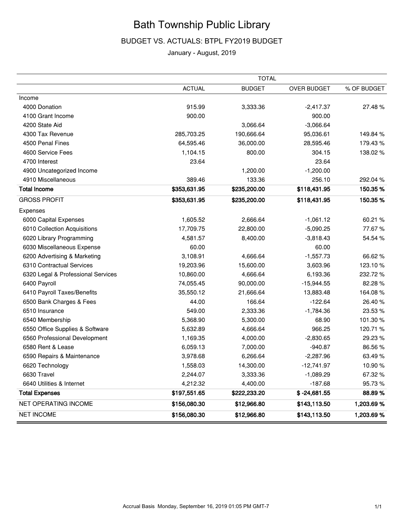# Bath Township Public Library

## BUDGET VS. ACTUALS: BTPL FY2019 BUDGET

## January - August, 2019

|                                    |               | <b>TOTAL</b>  |                |             |
|------------------------------------|---------------|---------------|----------------|-------------|
|                                    | <b>ACTUAL</b> | <b>BUDGET</b> | OVER BUDGET    | % OF BUDGET |
| Income                             |               |               |                |             |
| 4000 Donation                      | 915.99        | 3,333.36      | $-2,417.37$    | 27.48%      |
| 4100 Grant Income                  | 900.00        |               | 900.00         |             |
| 4200 State Aid                     |               | 3,066.64      | $-3,066.64$    |             |
| 4300 Tax Revenue                   | 285,703.25    | 190,666.64    | 95,036.61      | 149.84 %    |
| 4500 Penal Fines                   | 64,595.46     | 36,000.00     | 28,595.46      | 179.43%     |
| 4600 Service Fees                  | 1,104.15      | 800.00        | 304.15         | 138.02%     |
| 4700 Interest                      | 23.64         |               | 23.64          |             |
| 4900 Uncategorized Income          |               | 1,200.00      | $-1,200.00$    |             |
| 4910 Miscellaneous                 | 389.46        | 133.36        | 256.10         | 292.04 %    |
| <b>Total Income</b>                | \$353,631.95  | \$235,200.00  | \$118,431.95   | 150.35%     |
| <b>GROSS PROFIT</b>                | \$353,631.95  | \$235,200.00  | \$118,431.95   | 150.35%     |
| Expenses                           |               |               |                |             |
| 6000 Capital Expenses              | 1,605.52      | 2,666.64      | $-1,061.12$    | 60.21 %     |
| 6010 Collection Acquisitions       | 17,709.75     | 22,800.00     | $-5,090.25$    | 77.67%      |
| 6020 Library Programming           | 4,581.57      | 8,400.00      | $-3,818.43$    | 54.54 %     |
| 6030 Miscellaneous Expense         | 60.00         |               | 60.00          |             |
| 6200 Advertising & Marketing       | 3,108.91      | 4,666.64      | $-1,557.73$    | 66.62%      |
| 6310 Contractual Services          | 19,203.96     | 15,600.00     | 3,603.96       | 123.10%     |
| 6320 Legal & Professional Services | 10,860.00     | 4,666.64      | 6,193.36       | 232.72%     |
| 6400 Payroll                       | 74,055.45     | 90,000.00     | $-15,944.55$   | 82.28%      |
| 6410 Payroll Taxes/Benefits        | 35,550.12     | 21,666.64     | 13,883.48      | 164.08%     |
| 6500 Bank Charges & Fees           | 44.00         | 166.64        | $-122.64$      | 26.40%      |
| 6510 Insurance                     | 549.00        | 2,333.36      | $-1,784.36$    | 23.53%      |
| 6540 Membership                    | 5,368.90      | 5,300.00      | 68.90          | 101.30%     |
| 6550 Office Supplies & Software    | 5,632.89      | 4,666.64      | 966.25         | 120.71%     |
| 6560 Professional Development      | 1,169.35      | 4,000.00      | $-2,830.65$    | 29.23%      |
| 6580 Rent & Lease                  | 6,059.13      | 7,000.00      | $-940.87$      | 86.56%      |
| 6590 Repairs & Maintenance         | 3,978.68      | 6,266.64      | $-2,287.96$    | 63.49%      |
| 6620 Technology                    | 1,558.03      | 14,300.00     | $-12,741.97$   | 10.90%      |
| 6630 Travel                        | 2,244.07      | 3,333.36      | $-1,089.29$    | 67.32%      |
| 6640 Utilities & Internet          | 4,212.32      | 4,400.00      | $-187.68$      | 95.73%      |
| <b>Total Expenses</b>              | \$197,551.65  | \$222,233.20  | $$ -24,681.55$ | 88.89%      |
| NET OPERATING INCOME               | \$156,080.30  | \$12,966.80   | \$143,113.50   | 1,203.69%   |
| <b>NET INCOME</b>                  | \$156,080.30  | \$12,966.80   | \$143,113.50   | 1,203.69%   |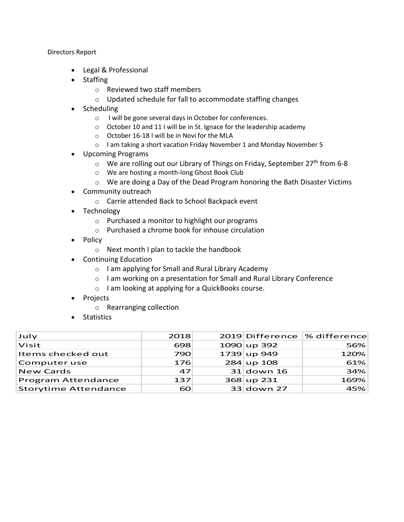Directors Report

- Legal & Professional
- Staffing
	- o Reviewed two staff members
	- o Updated schedule for fall to accommodate staffing changes
- Scheduling
	- o I will be gone several days in October for conferences.
	- o October 10 and 11 I will be in St. Ignace for the leadership academy
	- o October 16-18 I will be in Novi for the MLA
	- o I am taking a short vacation Friday November 1 and Monday November 5
- Upcoming Programs
	- $\circ$  We are rolling out our Library of Things on Friday, September 27<sup>th</sup> from 6-8
	- o We are hosting a month-long Ghost Book Club
	- $\circ$  We are doing a Day of the Dead Program honoring the Bath Disaster Victims
- Community outreach
	- o Carrie attended Back to School Backpack event
- Technology
	- o Purchased a monitor to highlight our programs
	- o Purchased a chrome book for inhouse circulation
- Policy
	- o Next month I plan to tackle the handbook
- Continuing Education
	- o I am applying for Small and Rural Library Academy
	- o I am working on a presentation for Small and Rural Library Conference
	- o I am looking at applying for a QuickBooks course.
- Projects
	- o Rearranging collection
- Statistics

| July                        | 2018 |               | 2019 Difference  % difference |
|-----------------------------|------|---------------|-------------------------------|
| $\overline{\mathsf{Visit}}$ | 698  | $1090$ up 392 | 56%                           |
| Items checked out           | 790  | $1739$ up 949 | 120%                          |
| Computer use                | 176  | $284$ up 108  | 61%                           |
| <b>New Cards</b>            | 47   | $31$ down 16  | 34%                           |
| <b>Program Attendance</b>   | 137  | 368 up 231    | 169%                          |
| Storytime Attendance        | 60   | 33 down 27    | 45%                           |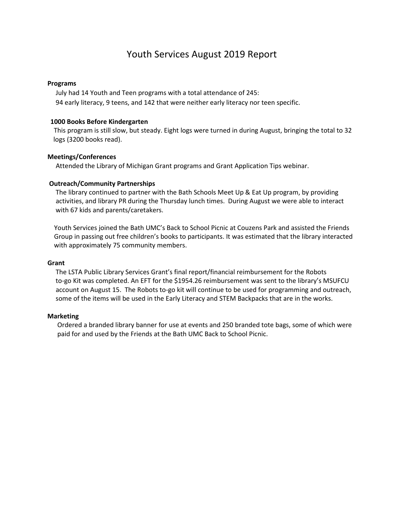# Youth Services August 2019 Report

#### **Programs**

 July had 14 Youth and Teen programs with a total attendance of 245: 94 early literacy, 9 teens, and 142 that were neither early literacy nor teen specific.

#### **1000 Books Before Kindergarten**

This program is still slow, but steady. Eight logs were turned in during August, bringing the total to 32 logs (3200 books read).

#### **Meetings/Conferences**

Attended the Library of Michigan Grant programs and Grant Application Tips webinar.

#### **Outreach/Community Partnerships**

The library continued to partner with the Bath Schools Meet Up & Eat Up program, by providing activities, and library PR during the Thursday lunch times. During August we were able to interact with 67 kids and parents/caretakers.

 Youth Services joined the Bath UMC's Back to School Picnic at Couzens Park and assisted the Friends Group in passing out free children's books to participants. It was estimated that the library interacted with approximately 75 community members.

#### **Grant**

The LSTA Public Library Services Grant's final report/financial reimbursement for the Robots to-go Kit was completed. An EFT for the \$1954.26 reimbursement was sent to the library's MSUFCU account on August 15. The Robots to-go kit will continue to be used for programming and outreach, some of the items will be used in the Early Literacy and STEM Backpacks that are in the works.

#### **Marketing**

 Ordered a branded library banner for use at events and 250 branded tote bags, some of which were paid for and used by the Friends at the Bath UMC Back to School Picnic.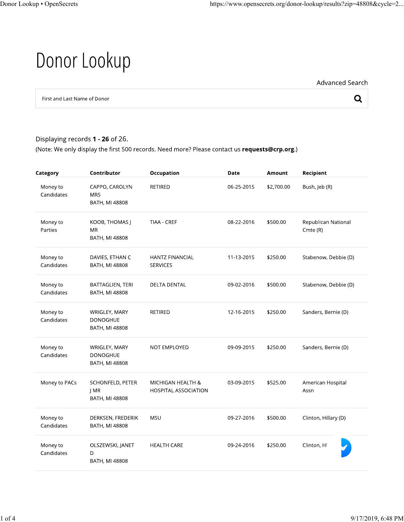# Donor Lookup

Advanced Search

 $\mathbf Q$ 

First and Last Name of Donor

### Displaying records 1 - 26 of 26.

(Note: We only display the first 500 records. Need more? Please contact us requests@crp.org.)

| Category               | Contributor                                           | Occupation                                       | Date       | Amount     | Recipient                            |
|------------------------|-------------------------------------------------------|--------------------------------------------------|------------|------------|--------------------------------------|
| Money to<br>Candidates | CAPPO, CAROLYN<br><b>MRS</b><br><b>BATH, MI 48808</b> | <b>RETIRED</b>                                   | 06-25-2015 | \$2,700.00 | Bush, Jeb (R)                        |
| Money to<br>Parties    | KOOB, THOMAS J<br><b>MR</b><br>BATH, MI 48808         | TIAA - CREF                                      | 08-22-2016 | \$500.00   | Republican National<br>$C$ mte $(R)$ |
| Money to<br>Candidates | DAVIES, ETHAN C<br>BATH, MI 48808                     | <b>HANTZ FINANCIAL</b><br><b>SERVICES</b>        | 11-13-2015 | \$250.00   | Stabenow, Debbie (D)                 |
| Money to<br>Candidates | BATTAGLIEN, TERI<br><b>BATH, MI 48808</b>             | <b>DELTA DENTAL</b>                              | 09-02-2016 | \$500.00   | Stabenow, Debbie (D)                 |
| Money to<br>Candidates | WRIGLEY, MARY<br><b>DONOGHUE</b><br>BATH, MI 48808    | <b>RETIRED</b>                                   | 12-16-2015 | \$250.00   | Sanders, Bernie (D)                  |
| Money to<br>Candidates | WRIGLEY, MARY<br><b>DONOGHUE</b><br>BATH, MI 48808    | NOT EMPLOYED                                     | 09-09-2015 | \$250.00   | Sanders, Bernie (D)                  |
| Money to PACs          | SCHONFELD, PETER<br>J MR<br><b>BATH, MI 48808</b>     | MICHIGAN HEALTH &<br><b>HOSPITAL ASSOCIATION</b> | 03-09-2015 | \$525.00   | American Hospital<br>Assn            |
| Money to<br>Candidates | DERKSEN, FREDERIK<br>BATH, MI 48808                   | <b>MSU</b>                                       | 09-27-2016 | \$500.00   | Clinton, Hillary (D)                 |
| Money to<br>Candidates | OLSZEWSKI, JANET<br>D<br><b>BATH, MI 48808</b>        | <b>HEALTH CARE</b>                               | 09-24-2016 | \$250.00   | Clinton, Hi                          |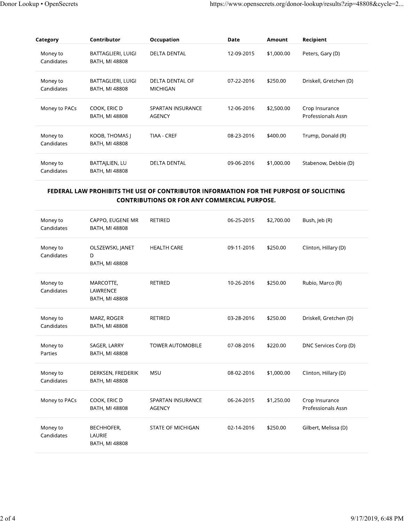| Category               | Contributor                          | Occupation                  | Date       | Amount     | Recipient                            |
|------------------------|--------------------------------------|-----------------------------|------------|------------|--------------------------------------|
| Money to<br>Candidates | BATTAGLIERI, LUIGI<br>BATH, MI 48808 | <b>DELTA DENTAL</b>         | 12-09-2015 | \$1,000.00 | Peters, Gary (D)                     |
| Money to<br>Candidates | BATTAGLIERI, LUIGI<br>BATH, MI 48808 | DELTA DENTAL OF<br>MICHIGAN | 07-22-2016 | \$250.00   | Driskell, Gretchen (D)               |
| Money to PACs          | COOK, ERIC D<br>BATH, MI 48808       | SPARTAN INSURANCE<br>AGENCY | 12-06-2016 | \$2,500.00 | Crop Insurance<br>Professionals Assn |
| Money to<br>Candidates | KOOB, THOMAS J<br>BATH, MI 48808     | TIAA - CREF                 | 08-23-2016 | \$400.00   | Trump, Donald (R)                    |
| Money to<br>Candidates | BATTAJLIEN, LU<br>BATH, MI 48808     | <b>DELTA DENTAL</b>         | 09-06-2016 | \$1,000.00 | Stabenow, Debbie (D)                 |

#### FEDERAL LAW PROHIBITS THE USE OF CONTRIBUTOR INFORMATION FOR THE PURPOSE OF SOLICITING **CONTRIBUTIONS OR FOR ANY COMMERCIAL PURPOSE.**

| Money to<br>Candidates | CAPPO, EUGENE MR<br><b>BATH, MI 48808</b>      | <b>RETIRED</b>                            | 06-25-2015 | \$2,700.00 | Bush, Jeb (R)                        |
|------------------------|------------------------------------------------|-------------------------------------------|------------|------------|--------------------------------------|
| Money to<br>Candidates | OLSZEWSKI, JANET<br>D<br>BATH, MI 48808        | <b>HEALTH CARE</b>                        | 09-11-2016 | \$250.00   | Clinton, Hillary (D)                 |
| Money to<br>Candidates | MARCOTTE,<br>LAWRENCE<br><b>BATH, MI 48808</b> | <b>RETIRED</b>                            | 10-26-2016 | \$250.00   | Rubio, Marco (R)                     |
| Money to<br>Candidates | MARZ, ROGER<br>BATH, MI 48808                  | <b>RETIRED</b>                            | 03-28-2016 | \$250.00   | Driskell, Gretchen (D)               |
| Money to<br>Parties    | SAGER, LARRY<br><b>BATH, MI 48808</b>          | <b>TOWER AUTOMOBILE</b>                   | 07-08-2016 | \$220.00   | DNC Services Corp (D)                |
| Money to<br>Candidates | DERKSEN, FREDERIK<br>BATH, MI 48808            | <b>MSU</b>                                | 08-02-2016 | \$1,000.00 | Clinton, Hillary (D)                 |
| Money to PACs          | COOK, ERIC D<br>BATH, MI 48808                 | <b>SPARTAN INSURANCE</b><br><b>AGENCY</b> | 06-24-2015 | \$1,250.00 | Crop Insurance<br>Professionals Assn |
| Money to<br>Candidates | BECHHOFER,<br>LAURIE<br><b>BATH, MI 48808</b>  | <b>STATE OF MICHIGAN</b>                  | 02-14-2016 | \$250.00   | Gilbert, Melissa (D)                 |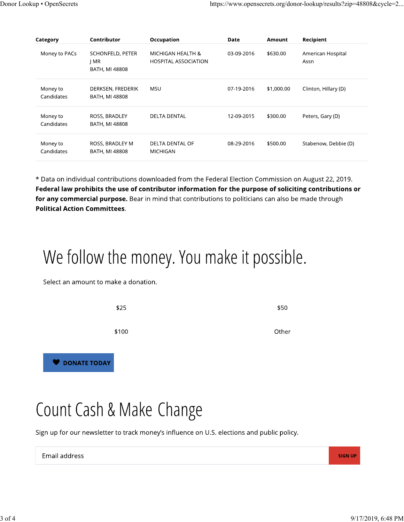| Category               | Contributor                                | Occupation                                       | Date       | Amount     | Recipient                 |
|------------------------|--------------------------------------------|--------------------------------------------------|------------|------------|---------------------------|
| Money to PACs          | SCHONFELD, PETER<br>  MR<br>BATH, MI 48808 | MICHIGAN HEALTH &<br><b>HOSPITAL ASSOCIATION</b> | 03-09-2016 | \$630.00   | American Hospital<br>Assn |
| Money to<br>Candidates | DERKSEN, FREDERIK<br>BATH, MI 48808        | MSU                                              | 07-19-2016 | \$1,000.00 | Clinton, Hillary (D)      |
| Money to<br>Candidates | ROSS, BRADLEY<br>BATH, MI 48808            | <b>DELTA DENTAL</b>                              | 12-09-2015 | \$300.00   | Peters, Gary (D)          |
| Money to<br>Candidates | ROSS, BRADLEY M<br>BATH, MI 48808          | <b>DELTA DENTAL OF</b><br>MICHIGAN               | 08-29-2016 | \$500.00   | Stabenow, Debbie (D)      |

\* Data on individual contributions downloaded from the Federal Election Commission on August 22, 2019. Federal law prohibits the use of contributor information for the purpose of soliciting contributions or for any commercial purpose. Bear in mind that contributions to politicians can also be made through **Political Action Committees.** 

# We follow the money. You make it possible.

Select an amount to make a donation.

| \$25                | \$50  |
|---------------------|-------|
| \$100               | Other |
| <b>DONATE TODAY</b> |       |

# Count Cash & Make Change

Sign up for our newsletter to track money's influence on U.S. elections and public policy.

**SIGN UP**